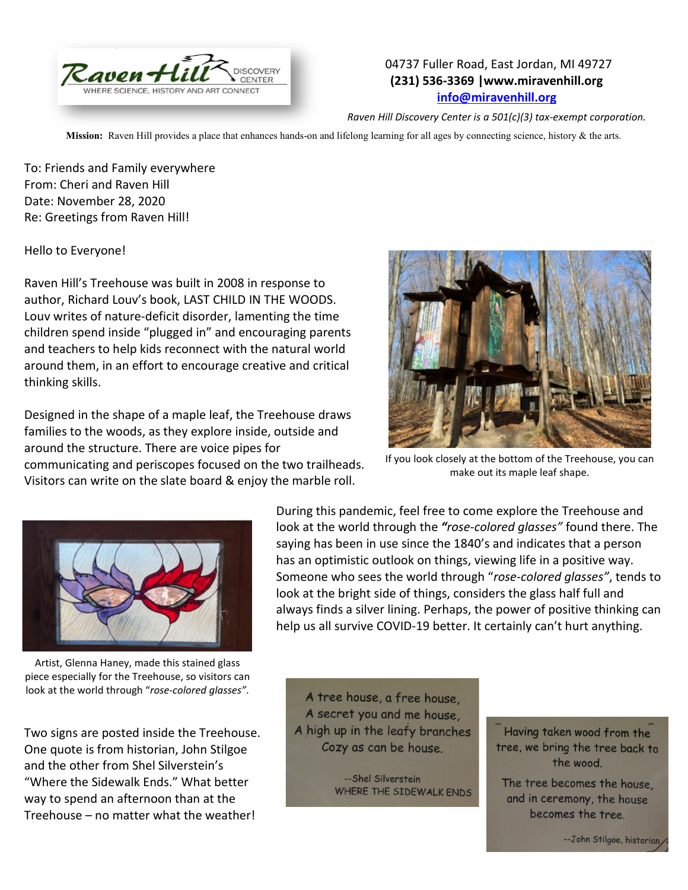

## 04737 Fuller Road, East Jordan, MI 49727 **(231) 536-3369 |www.miravenhill.org [info@miravenhill.org](mailto:info@miravenhill.org)**

*Raven Hill Discovery Center is a 501(c)(3) tax-exempt corporation.*

**Mission:** Raven Hill provides a place that enhances hands-on and lifelong learning for all ages by connecting science, history & the arts.

To: Friends and Family everywhere From: Cheri and Raven Hill Date: November 28, 2020 Re: Greetings from Raven Hill!

Hello to Everyone!

Raven Hill's Treehouse was built in 2008 in response to author, Richard Louv's book, LAST CHILD IN THE WOODS. Louv writes of nature-deficit disorder, lamenting the time children spend inside "plugged in" and encouraging parents and teachers to help kids reconnect with the natural world around them, in an effort to encourage creative and critical thinking skills.

Designed in the shape of a maple leaf, the Treehouse draws families to the woods, as they explore inside, outside and around the structure. There are voice pipes for communicating and periscopes focused on the two trailheads. Visitors can write on the slate board & enjoy the marble roll.



If you look closely at the bottom of the Treehouse, you can make out its maple leaf shape.



Artist, Glenna Haney, made this stained glass piece especially for the Treehouse, so visitors can look at the world through "*rose-colored glasses"*.

Two signs are posted inside the Treehouse. One quote is from historian, John Stilgoe and the other from Shel Silverstein's "Where the Sidewalk Ends." What better way to spend an afternoon than at the Treehouse – no matter what the weather!

During this pandemic, feel free to come explore the Treehouse and look at the world through the *"rose-colored glasses"* found there. The saying has been in use since the 1840's and indicates that a person has an optimistic outlook on things, viewing life in a positive way. Someone who sees the world through "*rose-colored glasses"*, tends to look at the bright side of things, considers the glass half full and always finds a silver lining. Perhaps, the power of positive thinking can help us all survive COVID-19 better. It certainly can't hurt anything.

A tree house, a free house, A secret you and me house. A high up in the leafy branches Cozy as can be house.

> --Shel Silverstein WHERE THE SIDEWALK ENDS

Having taken wood from the tree, we bring the tree back to the wood.

The tree becomes the house. and in ceremony, the house becomes the tree.

-- John Stilgoe, historian